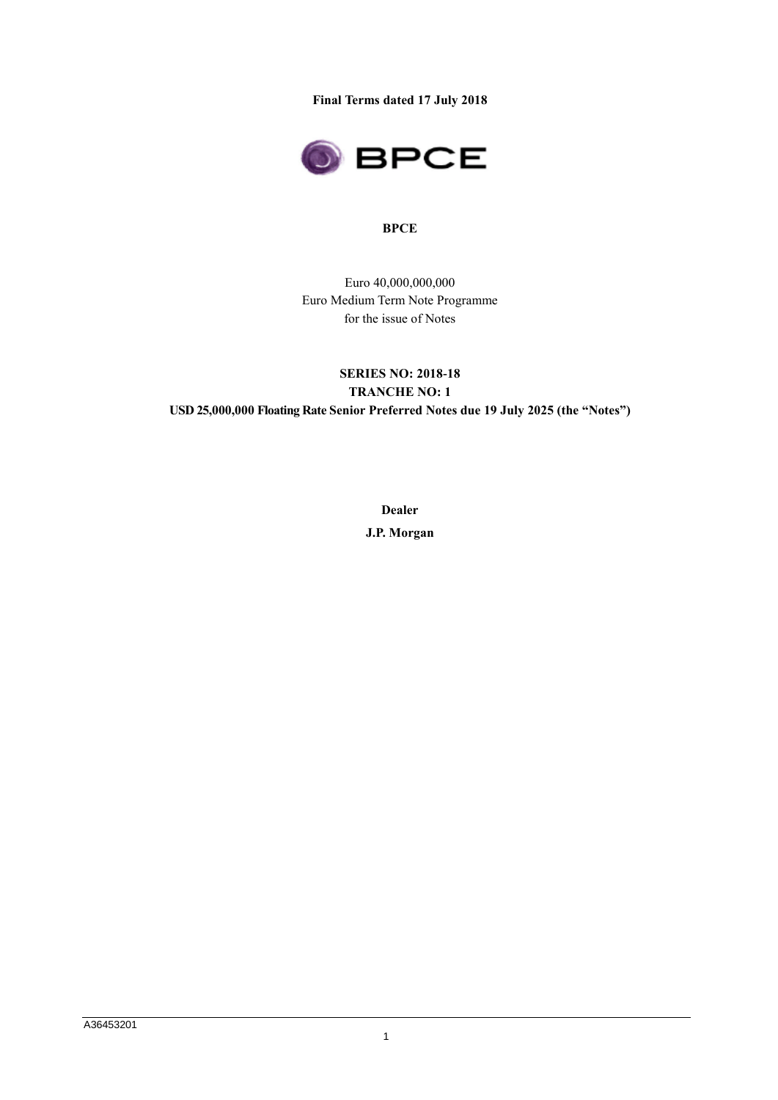**Final Terms dated 17 July 2018**



### **BPCE**

Euro 40,000,000,000 Euro Medium Term Note Programme for the issue of Notes

# **SERIES NO: 2018-18 TRANCHE NO: 1 USD 25,000,000 Floating Rate Senior Preferred Notes due 19 July 2025 (the "Notes")**

**Dealer J.P. Morgan**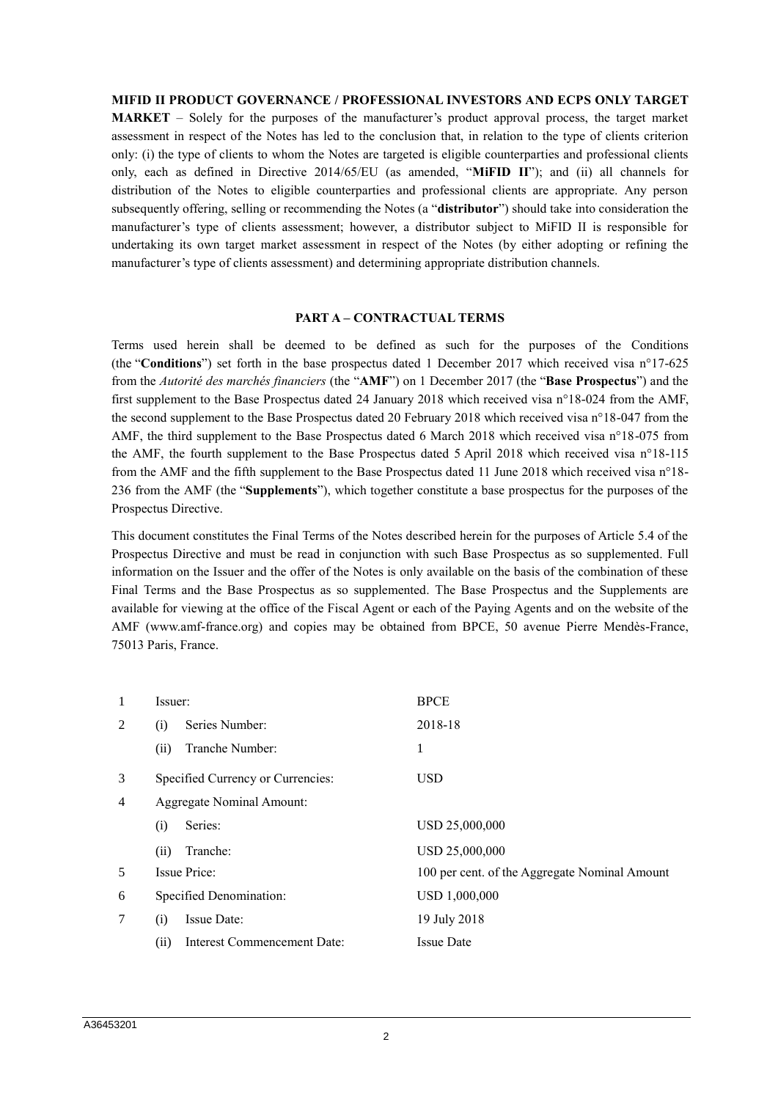#### **MIFID II PRODUCT GOVERNANCE / PROFESSIONAL INVESTORS AND ECPS ONLY TARGET**

**MARKET** – Solely for the purposes of the manufacturer's product approval process, the target market assessment in respect of the Notes has led to the conclusion that, in relation to the type of clients criterion only: (i) the type of clients to whom the Notes are targeted is eligible counterparties and professional clients only, each as defined in Directive 2014/65/EU (as amended, "**MiFID II**"); and (ii) all channels for distribution of the Notes to eligible counterparties and professional clients are appropriate. Any person subsequently offering, selling or recommending the Notes (a "**distributor**") should take into consideration the manufacturer's type of clients assessment; however, a distributor subject to MiFID II is responsible for undertaking its own target market assessment in respect of the Notes (by either adopting or refining the manufacturer's type of clients assessment) and determining appropriate distribution channels.

#### **PART A – CONTRACTUAL TERMS**

Terms used herein shall be deemed to be defined as such for the purposes of the Conditions (the "**Conditions**") set forth in the base prospectus dated 1 December 2017 which received visa n°17-625 from the *Autorité des marchés financiers* (the "**AMF**") on 1 December 2017 (the "**Base Prospectus**") and the first supplement to the Base Prospectus dated 24 January 2018 which received visa n°18-024 from the AMF, the second supplement to the Base Prospectus dated 20 February 2018 which received visa n°18-047 from the AMF, the third supplement to the Base Prospectus dated 6 March 2018 which received visa n°18-075 from the AMF, the fourth supplement to the Base Prospectus dated 5 April 2018 which received visa n°18-115 from the AMF and the fifth supplement to the Base Prospectus dated 11 June 2018 which received visa n°18- 236 from the AMF (the "**Supplements**"), which together constitute a base prospectus for the purposes of the Prospectus Directive.

This document constitutes the Final Terms of the Notes described herein for the purposes of Article 5.4 of the Prospectus Directive and must be read in conjunction with such Base Prospectus as so supplemented. Full information on the Issuer and the offer of the Notes is only available on the basis of the combination of these Final Terms and the Base Prospectus as so supplemented. The Base Prospectus and the Supplements are available for viewing at the office of the Fiscal Agent or each of the Paying Agents and on the website of the AMF (www.amf-france.org) and copies may be obtained from BPCE, 50 avenue Pierre Mendès-France, 75013 Paris, France.

| 1              | Issuer:                           |                             | <b>BPCE</b>                                   |  |
|----------------|-----------------------------------|-----------------------------|-----------------------------------------------|--|
| 2              | Series Number:<br>(i)             |                             | 2018-18                                       |  |
|                | (ii)                              | Tranche Number:             | 1                                             |  |
| 3              | Specified Currency or Currencies: |                             | <b>USD</b>                                    |  |
| $\overline{4}$ |                                   | Aggregate Nominal Amount:   |                                               |  |
|                | (i)                               | Series:                     | USD 25,000,000                                |  |
|                | (ii)                              | Tranche:                    | USD 25,000,000                                |  |
| 5              | Issue Price:                      |                             | 100 per cent. of the Aggregate Nominal Amount |  |
| 6              | Specified Denomination:           |                             | USD 1,000,000                                 |  |
| 7              | (i)                               | Issue Date:                 | 19 July 2018                                  |  |
|                | (ii)                              | Interest Commencement Date: | <b>Issue Date</b>                             |  |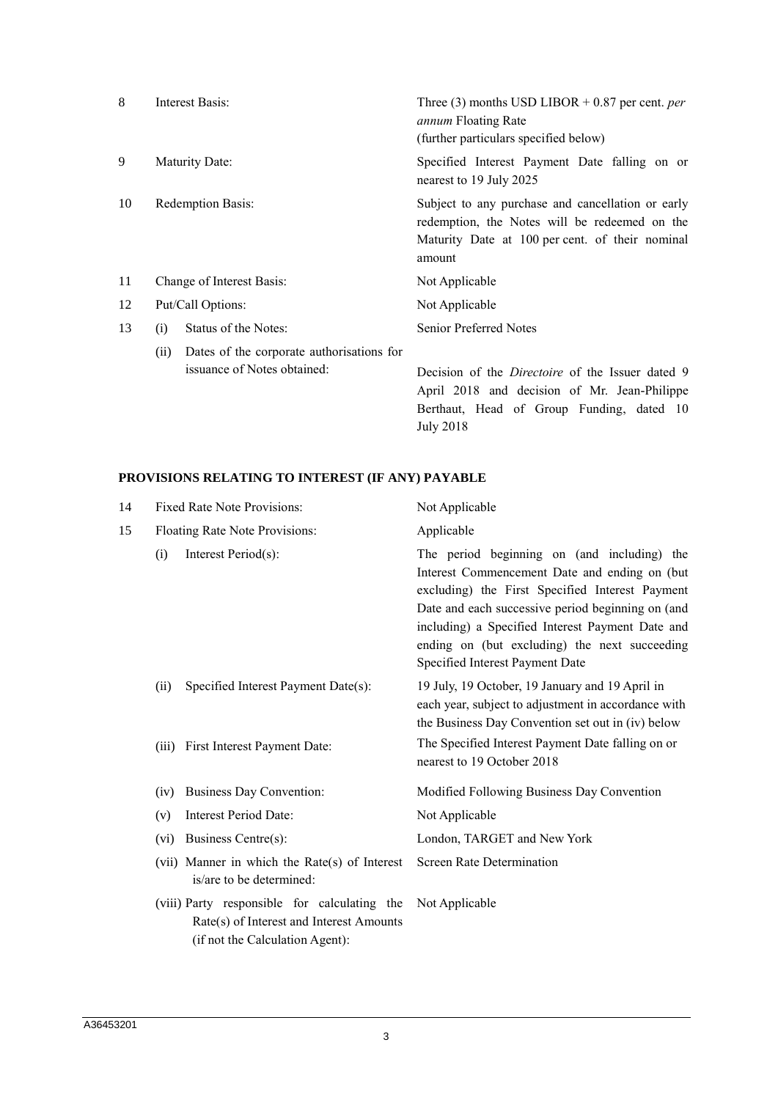| 8  | Interest Basis:                                                                  | Three (3) months USD LIBOR + 0.87 per cent. <i>per</i><br><i>annum</i> Floating Rate<br>(further particulars specified below)                                   |  |
|----|----------------------------------------------------------------------------------|-----------------------------------------------------------------------------------------------------------------------------------------------------------------|--|
| 9  | Maturity Date:                                                                   | Specified Interest Payment Date falling on or<br>nearest to 19 July 2025                                                                                        |  |
| 10 | <b>Redemption Basis:</b>                                                         | Subject to any purchase and cancellation or early<br>redemption, the Notes will be redeemed on the<br>Maturity Date at 100 per cent. of their nominal<br>amount |  |
| 11 | Change of Interest Basis:                                                        | Not Applicable                                                                                                                                                  |  |
| 12 | Put/Call Options:                                                                | Not Applicable                                                                                                                                                  |  |
| 13 | Status of the Notes:<br>(i)                                                      | <b>Senior Preferred Notes</b>                                                                                                                                   |  |
|    | Dates of the corporate authorisations for<br>(ii)<br>issuance of Notes obtained: | Decision of the <i>Directoire</i> of the Issuer dated 9<br>April 2018 and decision of Mr. Jean-Philippe<br>Berthaut, Head of Group Funding, dated 10            |  |

July 2018

## **PROVISIONS RELATING TO INTEREST (IF ANY) PAYABLE**

| 14 | Fixed Rate Note Provisions:                                                                                                 | Not Applicable                                                                                                                                                                                                                                                                                                                                |  |
|----|-----------------------------------------------------------------------------------------------------------------------------|-----------------------------------------------------------------------------------------------------------------------------------------------------------------------------------------------------------------------------------------------------------------------------------------------------------------------------------------------|--|
| 15 | Floating Rate Note Provisions:                                                                                              | Applicable                                                                                                                                                                                                                                                                                                                                    |  |
|    | Interest Period(s):<br>(i)                                                                                                  | The period beginning on (and including) the<br>Interest Commencement Date and ending on (but)<br>excluding) the First Specified Interest Payment<br>Date and each successive period beginning on (and<br>including) a Specified Interest Payment Date and<br>ending on (but excluding) the next succeeding<br>Specified Interest Payment Date |  |
|    | Specified Interest Payment Date(s):<br>(ii)                                                                                 | 19 July, 19 October, 19 January and 19 April in<br>each year, subject to adjustment in accordance with<br>the Business Day Convention set out in (iv) below                                                                                                                                                                                   |  |
|    | First Interest Payment Date:<br>(iii)                                                                                       | The Specified Interest Payment Date falling on or<br>nearest to 19 October 2018                                                                                                                                                                                                                                                               |  |
|    | Business Day Convention:<br>(iv)                                                                                            | Modified Following Business Day Convention                                                                                                                                                                                                                                                                                                    |  |
|    | Interest Period Date:<br>(v)                                                                                                | Not Applicable                                                                                                                                                                                                                                                                                                                                |  |
|    | Business Centre(s):<br>(vi)                                                                                                 | London, TARGET and New York                                                                                                                                                                                                                                                                                                                   |  |
|    | (vii) Manner in which the Rate(s) of Interest<br>is/are to be determined:                                                   | <b>Screen Rate Determination</b>                                                                                                                                                                                                                                                                                                              |  |
|    | (viii) Party responsible for calculating the<br>Rate(s) of Interest and Interest Amounts<br>(if not the Calculation Agent): | Not Applicable                                                                                                                                                                                                                                                                                                                                |  |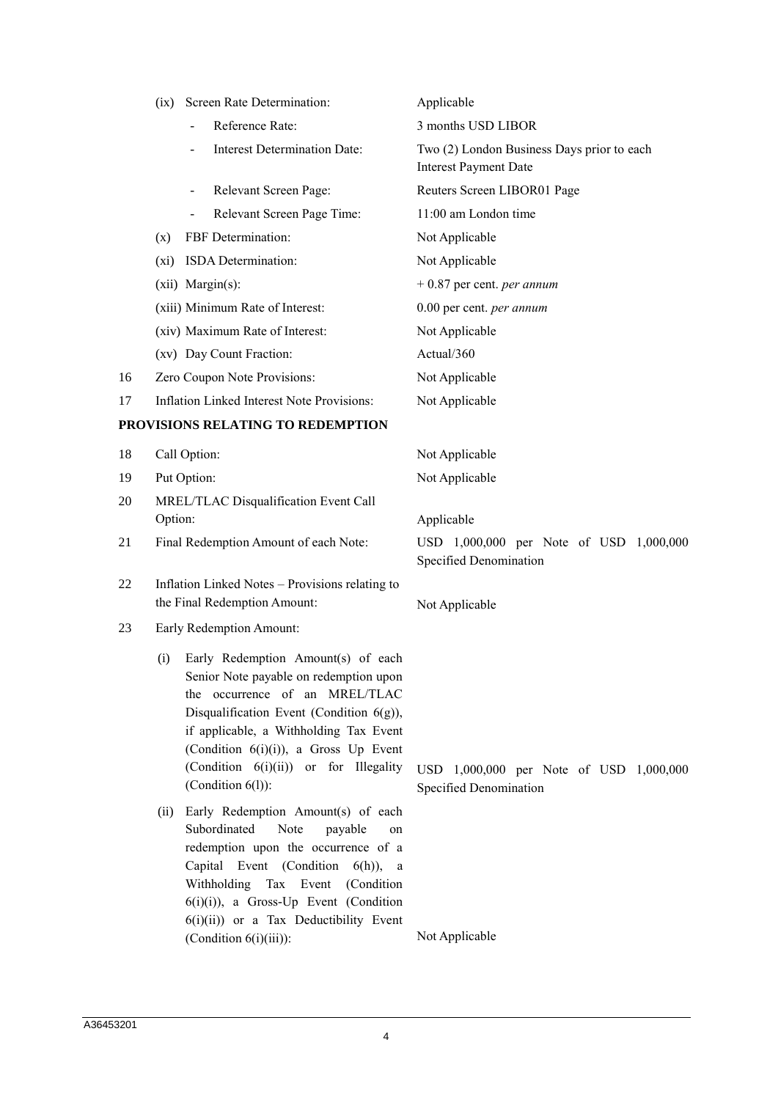|    | Screen Rate Determination:<br>(ix)                                                                                                                                                                                                                                                                                           | Applicable                                                                 |  |  |
|----|------------------------------------------------------------------------------------------------------------------------------------------------------------------------------------------------------------------------------------------------------------------------------------------------------------------------------|----------------------------------------------------------------------------|--|--|
|    | Reference Rate:                                                                                                                                                                                                                                                                                                              | 3 months USD LIBOR                                                         |  |  |
|    | <b>Interest Determination Date:</b>                                                                                                                                                                                                                                                                                          | Two (2) London Business Days prior to each<br><b>Interest Payment Date</b> |  |  |
|    | Relevant Screen Page:                                                                                                                                                                                                                                                                                                        | Reuters Screen LIBOR01 Page                                                |  |  |
|    | Relevant Screen Page Time:                                                                                                                                                                                                                                                                                                   | 11:00 am London time                                                       |  |  |
|    | FBF Determination:<br>(x)                                                                                                                                                                                                                                                                                                    | Not Applicable                                                             |  |  |
|    | ISDA Determination:<br>$(x_i)$                                                                                                                                                                                                                                                                                               | Not Applicable                                                             |  |  |
|    | (xii) Margin(s):                                                                                                                                                                                                                                                                                                             | $+0.87$ per cent. <i>per annum</i>                                         |  |  |
|    | (xiii) Minimum Rate of Interest:                                                                                                                                                                                                                                                                                             | 0.00 per cent. per annum                                                   |  |  |
|    | (xiv) Maximum Rate of Interest:                                                                                                                                                                                                                                                                                              | Not Applicable                                                             |  |  |
|    | (xv) Day Count Fraction:                                                                                                                                                                                                                                                                                                     | Actual/360                                                                 |  |  |
| 16 | Zero Coupon Note Provisions:                                                                                                                                                                                                                                                                                                 | Not Applicable                                                             |  |  |
| 17 | <b>Inflation Linked Interest Note Provisions:</b>                                                                                                                                                                                                                                                                            | Not Applicable                                                             |  |  |
|    | PROVISIONS RELATING TO REDEMPTION                                                                                                                                                                                                                                                                                            |                                                                            |  |  |
| 18 | Call Option:                                                                                                                                                                                                                                                                                                                 | Not Applicable                                                             |  |  |
| 19 | Put Option:                                                                                                                                                                                                                                                                                                                  | Not Applicable                                                             |  |  |
| 20 | MREL/TLAC Disqualification Event Call<br>Option:                                                                                                                                                                                                                                                                             | Applicable                                                                 |  |  |
| 21 | Final Redemption Amount of each Note:                                                                                                                                                                                                                                                                                        | USD 1,000,000 per Note of USD 1,000,000<br>Specified Denomination          |  |  |
| 22 | Inflation Linked Notes – Provisions relating to<br>the Final Redemption Amount:                                                                                                                                                                                                                                              | Not Applicable                                                             |  |  |
| 23 | Early Redemption Amount:                                                                                                                                                                                                                                                                                                     |                                                                            |  |  |
|    | Early Redemption Amount(s) of each<br>(i)<br>Senior Note payable on redemption upon<br>the occurrence of an MREL/TLAC<br>Disqualification Event (Condition $6(g)$ ),<br>if applicable, a Withholding Tax Event<br>(Condition $6(i)(i)$ ), a Gross Up Event<br>(Condition 6(i)(ii)) or for Illegality<br>(Condition $6(l)$ ): | USD 1,000,000 per Note of USD 1,000,000<br>Specified Denomination          |  |  |
|    | Early Redemption Amount(s) of each<br>(ii)<br>Subordinated<br>Note<br>payable<br>on<br>redemption upon the occurrence of a<br>Capital Event (Condition 6(h)), a<br>Withholding Tax Event (Condition<br>$6(i)(i)$ , a Gross-Up Event (Condition<br>$6(i)(ii)$ or a Tax Deductibility Event<br>(Condition $6(i)(iii)$ ):       | Not Applicable                                                             |  |  |
|    |                                                                                                                                                                                                                                                                                                                              |                                                                            |  |  |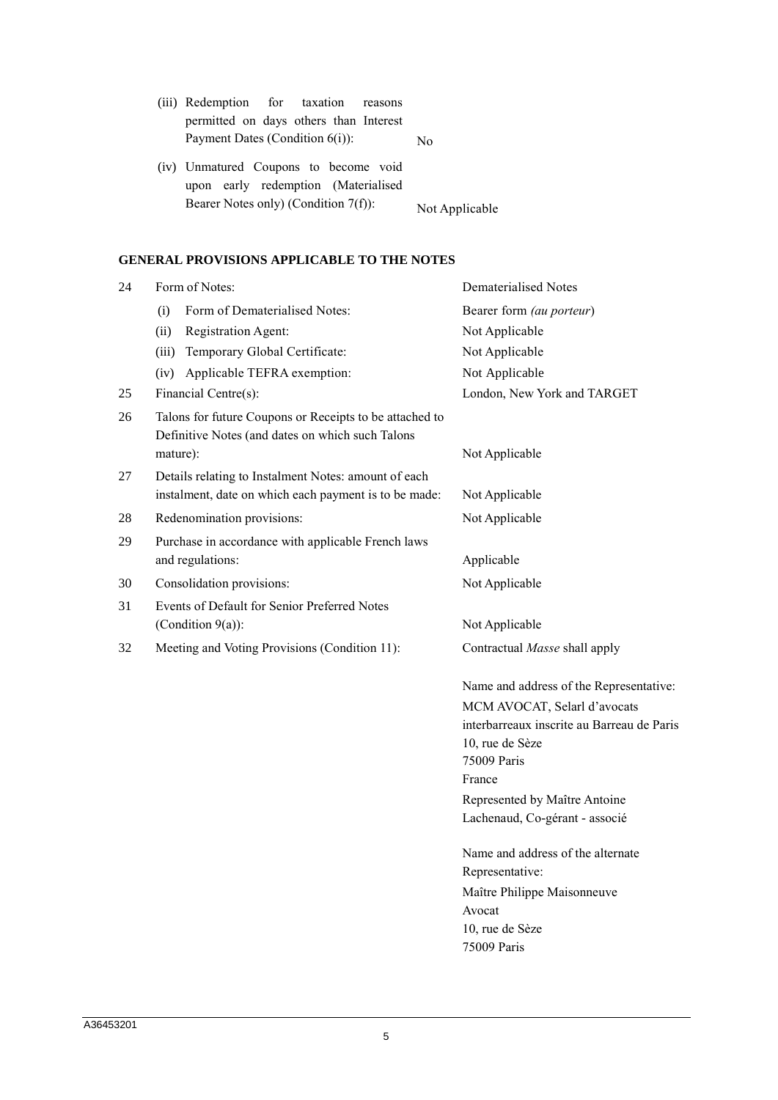| (iii) Redemption for taxation reasons                                        |                |
|------------------------------------------------------------------------------|----------------|
| permitted on days others than Interest                                       |                |
| Payment Dates (Condition $6(i)$ ):                                           | No.            |
| (iv) Unmatured Coupons to become void<br>upon early redemption (Materialised |                |
| Bearer Notes only) (Condition 7(f)):                                         | Not Applicable |

# **GENERAL PROVISIONS APPLICABLE TO THE NOTES**

| 24 | Form of Notes:                                                                                                          | Dematerialised Notes                                                                                         |
|----|-------------------------------------------------------------------------------------------------------------------------|--------------------------------------------------------------------------------------------------------------|
|    | Form of Dematerialised Notes:<br>(i)                                                                                    | Bearer form (au porteur)                                                                                     |
|    | (ii)<br>Registration Agent:                                                                                             | Not Applicable                                                                                               |
|    | (iii) Temporary Global Certificate:                                                                                     | Not Applicable                                                                                               |
|    | (iv) Applicable TEFRA exemption:                                                                                        | Not Applicable                                                                                               |
| 25 | Financial Centre(s):                                                                                                    | London, New York and TARGET                                                                                  |
| 26 | Talons for future Coupons or Receipts to be attached to<br>Definitive Notes (and dates on which such Talons<br>mature): | Not Applicable                                                                                               |
| 27 | Details relating to Instalment Notes: amount of each                                                                    |                                                                                                              |
|    | instalment, date on which each payment is to be made:                                                                   | Not Applicable                                                                                               |
| 28 | Redenomination provisions:                                                                                              | Not Applicable                                                                                               |
| 29 | Purchase in accordance with applicable French laws                                                                      |                                                                                                              |
|    | and regulations:                                                                                                        | Applicable                                                                                                   |
| 30 | Consolidation provisions:                                                                                               | Not Applicable                                                                                               |
| 31 | Events of Default for Senior Preferred Notes                                                                            |                                                                                                              |
|    | (Condition $9(a)$ ):                                                                                                    | Not Applicable                                                                                               |
| 32 | Meeting and Voting Provisions (Condition 11):                                                                           | Contractual Masse shall apply                                                                                |
|    |                                                                                                                         | Name and address of the Representative:                                                                      |
|    |                                                                                                                         | MCM AVOCAT, Selarl d'avocats<br>interbarreaux inscrite au Barreau de Paris<br>10, rue de Sèze<br>75009 Paris |
|    |                                                                                                                         | France                                                                                                       |
|    |                                                                                                                         | Represented by Maître Antoine<br>Lachenaud, Co-gérant - associé                                              |
|    |                                                                                                                         | Name and address of the alternate<br>Representative:                                                         |
|    |                                                                                                                         | Maître Philippe Maisonneuve                                                                                  |
|    |                                                                                                                         | Avocat                                                                                                       |
|    |                                                                                                                         | 10, rue de Sèze<br>75009 Paris                                                                               |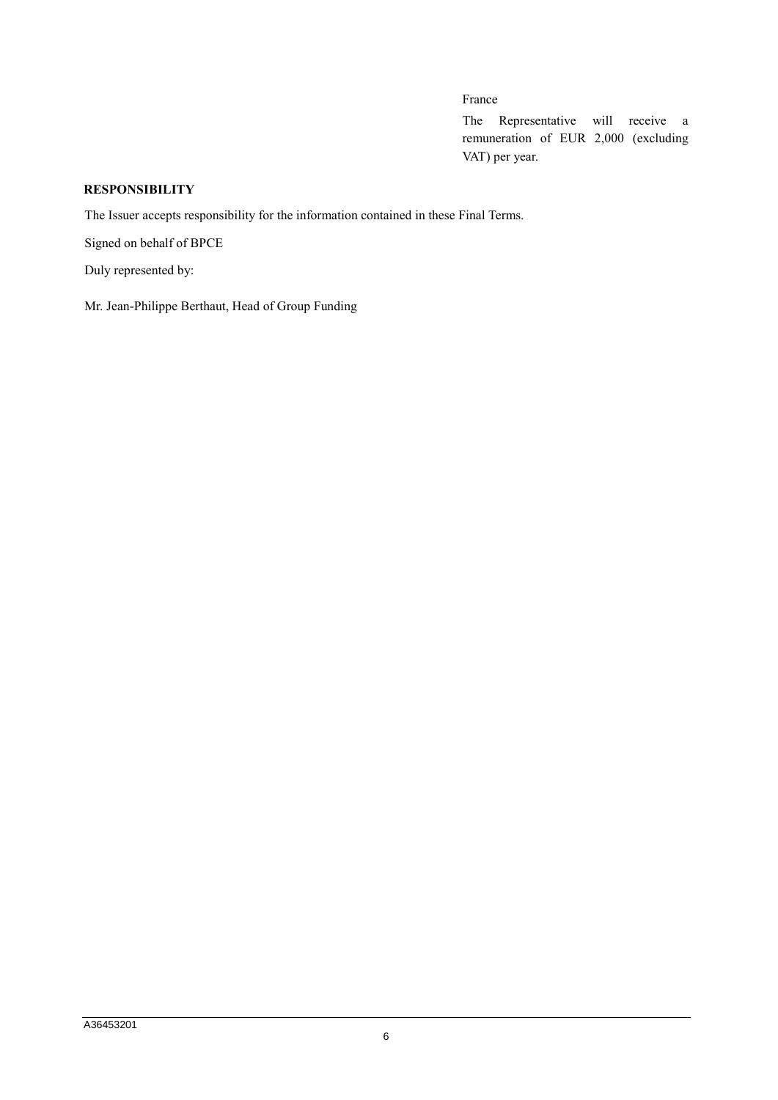# France

The Representative will receive a remuneration of EUR 2,000 (excluding VAT) per year.

## **RESPONSIBILITY**

The Issuer accepts responsibility for the information contained in these Final Terms.

Signed on behalf of BPCE

Duly represented by:

Mr. Jean-Philippe Berthaut, Head of Group Funding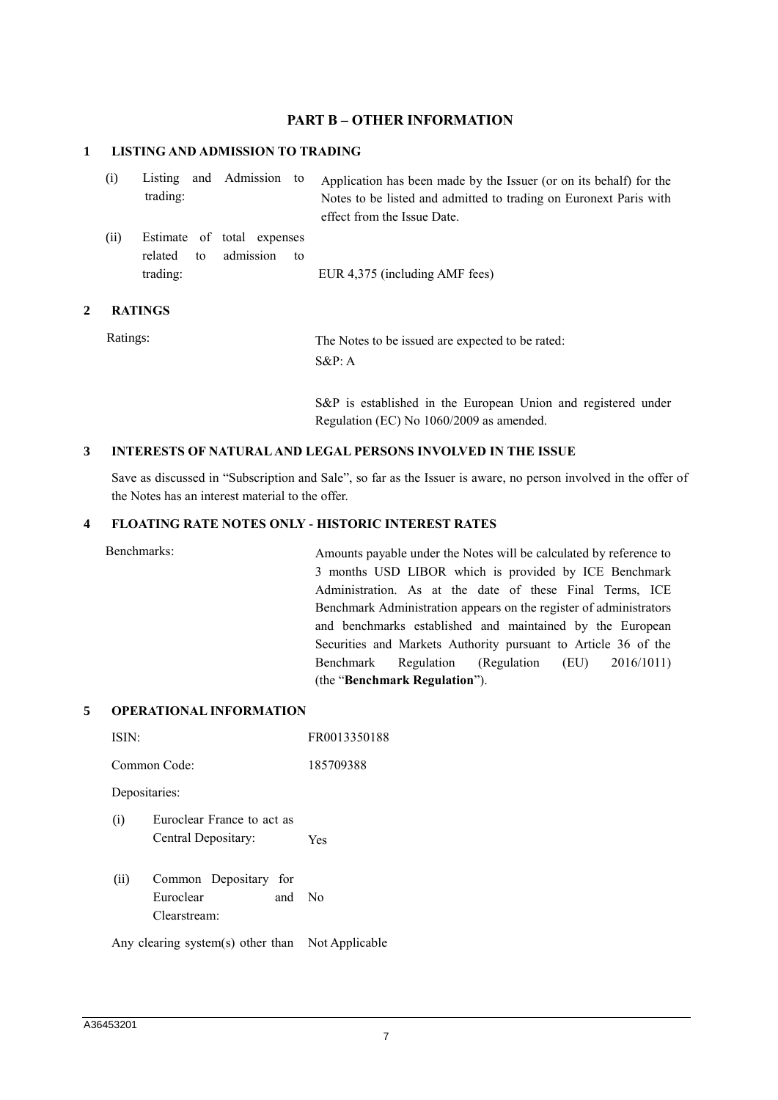### **PART B – OTHER INFORMATION**

#### **1 LISTING AND ADMISSION TO TRADING**

| (i)  | trading:            |    | Listing and Admission to                |    | Application has been made by the Issuer (or on its behalf) for the<br>Notes to be listed and admitted to trading on Euronext Paris with<br>effect from the Issue Date. |
|------|---------------------|----|-----------------------------------------|----|------------------------------------------------------------------------------------------------------------------------------------------------------------------------|
| (ii) | related<br>trading: | to | Estimate of total expenses<br>admission | tο | EUR 4,375 (including AMF fees)                                                                                                                                         |

#### **2 RATINGS**

Ratings: The Notes to be issued are expected to be rated: S&P: A

> S&P is established in the European Union and registered under Regulation (EC) No 1060/2009 as amended.

#### **3 INTERESTS OF NATURAL AND LEGAL PERSONS INVOLVED IN THE ISSUE**

Save as discussed in "Subscription and Sale", so far as the Issuer is aware, no person involved in the offer of the Notes has an interest material to the offer.

### **4 FLOATING RATE NOTES ONLY - HISTORIC INTEREST RATES**

Benchmarks: Amounts payable under the Notes will be calculated by reference to 3 months USD LIBOR which is provided by ICE Benchmark Administration. As at the date of these Final Terms, ICE Benchmark Administration appears on the register of administrators and benchmarks established and maintained by the European Securities and Markets Authority pursuant to Article 36 of the Benchmark Regulation (Regulation (EU) 2016/1011) (the "**Benchmark Regulation**").

### **5 OPERATIONAL INFORMATION**

| ISIN:         |                                                              | FR0013350188 |  |
|---------------|--------------------------------------------------------------|--------------|--|
|               | Common Code:                                                 | 185709388    |  |
| Depositaries: |                                                              |              |  |
| (i)           | Euroclear France to act as<br>Central Depositary:            | Yes          |  |
| (ii)          | Common Depositary for<br>Euroclear<br>and No<br>Clearstream: |              |  |
|               | Any clearing system(s) other than Not Applicable             |              |  |